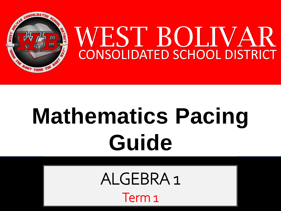

# **Mathematics Pacing Guide**

ALGEBRA 1

Term 1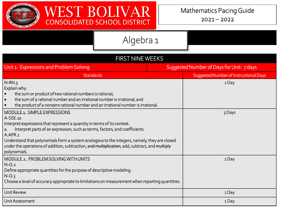

 $2021 - 2022$ 

| <b>FIRST NINE WEEKS</b>                                                                                                                                                                                                                                                                                                                                                                                                                 |  |                                           |  |  |
|-----------------------------------------------------------------------------------------------------------------------------------------------------------------------------------------------------------------------------------------------------------------------------------------------------------------------------------------------------------------------------------------------------------------------------------------|--|-------------------------------------------|--|--|
| Unit 1: Expressions and Problem Solving                                                                                                                                                                                                                                                                                                                                                                                                 |  | Suggested Number of Days for Unit: 7 days |  |  |
| <b>Standards</b>                                                                                                                                                                                                                                                                                                                                                                                                                        |  | Suggested Number of Instructional Days    |  |  |
| $N-RN.3$<br>Explain why:<br>the sum or product of two rational numbers is rational;<br>$\bullet$<br>the sum of a rational number and an irrational number is irrational; and<br>$\bullet$<br>the product of a nonzero rational number and an irrational number is irrational.                                                                                                                                                           |  | 1Day                                      |  |  |
| MODULE 1: SIMPLE EXPRESSIONS<br>$A-SSE.a$<br>Interpret expressions that represent a quantity in terms of its context.<br>Interpret parts of an expression, such as terms, factors, and coefficients.<br>a.<br>A.APR.1<br>Understand that polynomials form a system analogous to the integers, namely, they are closed<br>under the operations of addition, subtraction, and multiplication; add, subtract, and multiply<br>polynomials. |  | 3 Days                                    |  |  |
| MODULE 2: PROBLEM SOLVING WITH UNITS<br>$N$ -Q.2<br>Define appropriate quantities for the purpose of descriptive modeling.<br>$N$ -Q.3<br>Choose a level of accuracy appropriate to limitations on measurement when reporting quantities.                                                                                                                                                                                               |  | 1Day                                      |  |  |
| <b>Unit Review</b>                                                                                                                                                                                                                                                                                                                                                                                                                      |  | 1Day                                      |  |  |
| Unit Assessment                                                                                                                                                                                                                                                                                                                                                                                                                         |  | 1 Day                                     |  |  |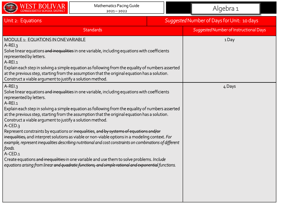

| Unit 2: Equations                                                                                                                                                                                                                                                                                                                                                                                                                                                                                                                                                                                                                                                                                                                                                                                                                                                                                                                                                                                                           | Suggested Number of Days for Unit: 10 days |                                        |
|-----------------------------------------------------------------------------------------------------------------------------------------------------------------------------------------------------------------------------------------------------------------------------------------------------------------------------------------------------------------------------------------------------------------------------------------------------------------------------------------------------------------------------------------------------------------------------------------------------------------------------------------------------------------------------------------------------------------------------------------------------------------------------------------------------------------------------------------------------------------------------------------------------------------------------------------------------------------------------------------------------------------------------|--------------------------------------------|----------------------------------------|
| <b>Standards</b>                                                                                                                                                                                                                                                                                                                                                                                                                                                                                                                                                                                                                                                                                                                                                                                                                                                                                                                                                                                                            |                                            | Suggested Number of Instructional Days |
| MODULE 1: EQUATIONS IN ONE VARIABLE<br>$A-RE13$<br>Solve linear equations and inequalities in one variable, including equations with coefficients<br>represented by letters.<br>$A-REI.1$<br>$\mid$ Explain each step in solving a simple equation as following from the equality of numbers asserted<br>at the previous step, starting from the assumption that the original equation has a solution.<br>Construct a viable argument to justify a solution method.                                                                                                                                                                                                                                                                                                                                                                                                                                                                                                                                                         |                                            | 1Day                                   |
| $A-REI.3$<br>Solve linear equations and inequalities in one variable, including equations with coefficients<br>represented by letters.<br>$A-REI.1$<br>Explain each step in solving a simple equation as following from the equality of numbers asserted<br>at the previous step, starting from the assumption that the original equation has a solution.<br>Construct a viable argument to justify a solution method.<br>$A$ -CED.3<br>Represent constraints by equations or inequalities, and by systems of equations and/or<br>  <del>inequalities,</del> and interpret solutions as viable or non-viable options in a modeling context. <i>For</i><br>$\mid$ example, represent inequalities describing nutritional and cost constraints on combinations of different<br>foods.<br>A-CED.1<br>Create equations <del>and inequalities i</del> n one variable and use them to solve problems. Include<br>equations arising from linear <del>and quadratic functions, and simple rational and exponential</del> functions. |                                            | 4 Days                                 |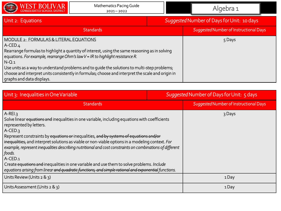

#### Unit 2: Equations *Suggested*Number of Days for Unit: 10 days

| <b>Standards</b>                                                                                                                                                                                                                                                                                                                                                                                                                                                                     | Suggested Number of Instructional Days |  |
|--------------------------------------------------------------------------------------------------------------------------------------------------------------------------------------------------------------------------------------------------------------------------------------------------------------------------------------------------------------------------------------------------------------------------------------------------------------------------------------|----------------------------------------|--|
| MODULE 2: FORMULAS & LITERAL EQUATIONS<br>$A$ -CED.4<br>Rearrange formulas to highlight a quantity of interest, using the same reasoning as in solving<br>equations. For example, rearrange Ohm's law V = IR to highlight resistance R.<br>$N-Q.1$<br>Use units as a way to understand problems and to quide the solutions to multi-step problems;<br>choose and interpret units consistently in formulas; choose and interpret the scale and origin in<br>graphs and data displays. | 5 Days                                 |  |

| Unit 3: Inequalities in One Variable                                                                                                                                                                                                                                                                                                                                                                                                                                                                                                                                                                                                                                                                | Suggested Number of Days for Unit: 5 days |                                        |
|-----------------------------------------------------------------------------------------------------------------------------------------------------------------------------------------------------------------------------------------------------------------------------------------------------------------------------------------------------------------------------------------------------------------------------------------------------------------------------------------------------------------------------------------------------------------------------------------------------------------------------------------------------------------------------------------------------|-------------------------------------------|----------------------------------------|
| <b>Standards</b>                                                                                                                                                                                                                                                                                                                                                                                                                                                                                                                                                                                                                                                                                    |                                           | Suggested Number of Instructional Days |
| $A-REI.3$<br>Solve linear equations and inequalities in one variable, including equations with coefficients<br>represented by letters.<br>$A-CED.3$<br>Represent constraints by equations or inequalities, and by systems of equations and/or<br>inequalities, and interpret solutions as viable or non-viable options in a modeling context. For<br>example, represent inequalities describing nutritional and cost constraints on combinations of different<br>foods.<br>A-CED <sub>1</sub><br>Create equations and inequalities in one variable and use them to solve problems. Include<br>equations arising from linear and quadratic functions, and simple rational and exponential functions. |                                           | 3 Days                                 |
| Units Review (Units 2 & 3)                                                                                                                                                                                                                                                                                                                                                                                                                                                                                                                                                                                                                                                                          |                                           | 1Day                                   |
| Units Assessment (Units $2 \& 3$ )                                                                                                                                                                                                                                                                                                                                                                                                                                                                                                                                                                                                                                                                  |                                           | 1 Day                                  |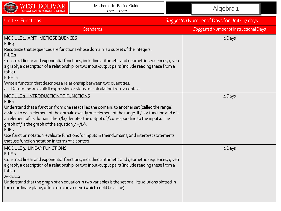

| Unit 4: Functions                                                                                                                                                                                                                                                                                                                                                                                                                                                                                                                                | Suggested Number of Days for Unit: 17 days |                                        |
|--------------------------------------------------------------------------------------------------------------------------------------------------------------------------------------------------------------------------------------------------------------------------------------------------------------------------------------------------------------------------------------------------------------------------------------------------------------------------------------------------------------------------------------------------|--------------------------------------------|----------------------------------------|
| <b>Standards</b>                                                                                                                                                                                                                                                                                                                                                                                                                                                                                                                                 |                                            | Suggested Number of Instructional Days |
| MODULE 1: ARITHMETIC SEQUENCES<br>$F-IF.3$<br>Recognize that sequences are functions whose domain is a subset of the integers.<br>$F-LE.2$<br>Construct <del>linear and exponential functions, including</del> arithmetic <del>and geometric</del> sequences, given<br>a graph, a description of a relationship, or two input-output pairs (include reading these from a<br>table).<br>F-BF.1a<br>Write a function that describes a relationship between two quantities.                                                                         |                                            | 2 Days                                 |
| a. Determine an explicit expression or steps for calculation from a context.<br><b>MODULE 2: INTRODUCTION TO FUNCTIONS</b>                                                                                                                                                                                                                                                                                                                                                                                                                       |                                            | 4 Days                                 |
| $F-IF.1$<br>Understand that a function from one set (called the domain) to another set (called the range)<br>assigns to each element of the domain exactly one element of the range. If f is a function and x is<br>an element of its domain, then $f(x)$ denotes the output of f corresponding to the input x. The<br>graph of f is the graph of the equation $y = f(x)$ .<br>$F$ -IF.2<br>Use function notation, evaluate functions for inputs in their domains, and interpret statements<br>that use function notation in terms of a context. |                                            |                                        |
| MODULE 3: LINEAR FUNCTIONS<br>$F-LE.2$<br>Construct linear <del>and exponential functions, including arithmetic and geometric sequences,</del> given<br>a graph, a description of a relationship, or two input-output pairs (include reading these from a<br>table).<br>$A-REI.10$<br>Understand that the graph of an equation in two variables is the set of all its solutions plotted in<br>the coordinate plane, often forming a curve (which could be a line).                                                                               |                                            | 2 Days                                 |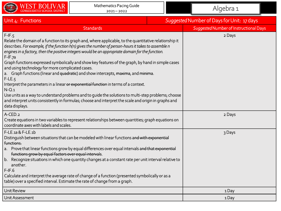

| Unit 4: Functions                                                                                                                                                                                                                                                                                                                                                                                                                                                                                                                                                                                                                                                                                                                                                                                                                                                                                                                                 | Suggested Number of Days for Unit: 17 days |                                        |
|---------------------------------------------------------------------------------------------------------------------------------------------------------------------------------------------------------------------------------------------------------------------------------------------------------------------------------------------------------------------------------------------------------------------------------------------------------------------------------------------------------------------------------------------------------------------------------------------------------------------------------------------------------------------------------------------------------------------------------------------------------------------------------------------------------------------------------------------------------------------------------------------------------------------------------------------------|--------------------------------------------|----------------------------------------|
| <b>Standards</b>                                                                                                                                                                                                                                                                                                                                                                                                                                                                                                                                                                                                                                                                                                                                                                                                                                                                                                                                  |                                            | Suggested Number of Instructional Days |
| $F-IF.5$<br>Relate the domain of a function to its graph and, where applicable, to the quantitative relationship it<br>describes. For example, if the function h(n) gives the number of person-hours it takes to assemble n<br>engines in a factory, then the positive integers would be an appropriate domain for the function.<br>$F-IF.7a$<br>Graph functions expressed symbolically and show key features of the graph, by hand in simple cases<br>and using technology for more complicated cases.<br>a. Graph functions (linear and quadratic) and show intercepts, maxima, and minima.<br>$F-LE.5$<br>Interpret the parameters in a linear or exponential function in terms of a context.<br>$N$ - $Q.1$<br>Use units as a way to understand problems and to guide the solutions to multi-step problems; choose<br>and interpret units consistently in formulas; choose and interpret the scale and origin in graphs and<br>data displays. |                                            | 2 Days                                 |
| A-CED.2<br>Create equations in two variables to represent relationships between quantities; graph equations on<br>coordinate axes with labels and scales.                                                                                                                                                                                                                                                                                                                                                                                                                                                                                                                                                                                                                                                                                                                                                                                         |                                            | 2 Days                                 |
| F-LE.1a & F-LE.1b<br>Distinguish between situations that can be modeled with linear functions and with exponential<br>functions.<br>a. Prove that linear functions grow by equal differences over equal intervals and that exponential<br>functions grow by equal factors over equal intervals.<br>b. Recognize situations in which one quantity changes at a constant rate per unit interval relative to<br>another.<br>$F-IF.6$<br>Calculate and interpret the average rate of change of a function (presented symbolically or as a<br>table) over a specified interval. Estimate the rate of change from a graph.                                                                                                                                                                                                                                                                                                                              |                                            | 3 Days                                 |
| Unit Review                                                                                                                                                                                                                                                                                                                                                                                                                                                                                                                                                                                                                                                                                                                                                                                                                                                                                                                                       |                                            | 1Day                                   |
| Unit Assessment                                                                                                                                                                                                                                                                                                                                                                                                                                                                                                                                                                                                                                                                                                                                                                                                                                                                                                                                   |                                            | 1Day                                   |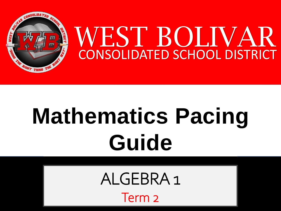

# **Mathematics Pacing Guide**

ALGEBRA 1

Term 2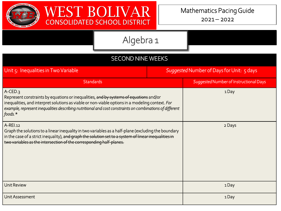



| <b>SECOND NINE WEEKS</b>                                                                                                                                                                                                                                                                                                          |                                           |                                        |  |
|-----------------------------------------------------------------------------------------------------------------------------------------------------------------------------------------------------------------------------------------------------------------------------------------------------------------------------------|-------------------------------------------|----------------------------------------|--|
| Unit 5: Inequalities in Two Variable                                                                                                                                                                                                                                                                                              | Suggested Number of Days for Unit: 5 days |                                        |  |
| <b>Standards</b>                                                                                                                                                                                                                                                                                                                  |                                           | Suggested Number of Instructional Days |  |
| $A-CED.3$<br>Represent constraints by equations or inequalities, and by systems of equations and/or<br>inequalities, and interpret solutions as viable or non-viable options in a modeling context. For<br>example, represent inequalities describing nutritional and cost constraints on combinations of different<br>foods. $*$ |                                           | 1Day                                   |  |
| A-REI.12<br>Graph the solutions to a linear inequality in two variables as a half-plane (excluding the boundary<br>in the case of a strict inequality), and graph the solution set to a system of linear inequalities in<br>two variables as the intersection of the corresponding half-planes.                                   |                                           | 2 Days                                 |  |
| <b>Unit Review</b>                                                                                                                                                                                                                                                                                                                |                                           | 1Day                                   |  |
| Unit Assessment                                                                                                                                                                                                                                                                                                                   |                                           | 1Day                                   |  |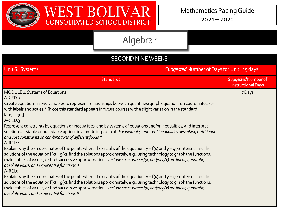

| <b>SECOND NINE WEEKS</b>                                                                                                                                                                                                                                                                                                                                                                                                                                                                                                                                                                                                                                                                                                                                                                                                                                                                                                                                                                                                                                                                                                                                                                                                                                                                                                                                                                                                                                                                                                                    |                                            |                                                  |
|---------------------------------------------------------------------------------------------------------------------------------------------------------------------------------------------------------------------------------------------------------------------------------------------------------------------------------------------------------------------------------------------------------------------------------------------------------------------------------------------------------------------------------------------------------------------------------------------------------------------------------------------------------------------------------------------------------------------------------------------------------------------------------------------------------------------------------------------------------------------------------------------------------------------------------------------------------------------------------------------------------------------------------------------------------------------------------------------------------------------------------------------------------------------------------------------------------------------------------------------------------------------------------------------------------------------------------------------------------------------------------------------------------------------------------------------------------------------------------------------------------------------------------------------|--------------------------------------------|--------------------------------------------------|
| Unit 6: Systems                                                                                                                                                                                                                                                                                                                                                                                                                                                                                                                                                                                                                                                                                                                                                                                                                                                                                                                                                                                                                                                                                                                                                                                                                                                                                                                                                                                                                                                                                                                             | Suggested Number of Days for Unit: 15 days |                                                  |
| <b>Standards</b>                                                                                                                                                                                                                                                                                                                                                                                                                                                                                                                                                                                                                                                                                                                                                                                                                                                                                                                                                                                                                                                                                                                                                                                                                                                                                                                                                                                                                                                                                                                            |                                            | Suggested Number of<br><b>Instructional Days</b> |
| <b>MODULE 1: Systems of Equations</b><br>A-CED.2<br>Create equations in two variables to represent relationships between quantities; graph equations on coordinate axes<br>with labels and scales.* [Note this standard appears in future courses with a slight variation in the standard<br>language.]<br>$A-CED.3$<br>Represent constraints by equations or inequalities, and by systems of equations and/or inequalities, and interpret<br>solutions as viable or non-viable options in a modeling context. For example, represent inequalities describing nutritional<br>and cost constraints on combinations of different foods.*<br>A-REI.11<br>Explain why the x-coordinates of the points where the graphs of the equations $y = f(x)$ and $y = g(x)$ intersect are the<br>solutions of the equation $f(x) = g(x)$ ; find the solutions approximately, e.g., using technology to graph the functions,<br>make tables of values, or find successive approximations. Include cases where f(x) and/or g(x) are linear, quadratic,<br>absolute value, and exponential functions. *<br>$A-REI.5$<br>Explain why the x-coordinates of the points where the graphs of the equations $y = f(x)$ and $y = g(x)$ intersect are the<br>solutions of the equation $f(x) = g(x)$ ; find the solutions approximately, e.g., using technology to graph the functions,<br>make tables of values, or find successive approximations. Include cases where $f(x)$ and/or $g(x)$ are linear, quadratic,<br>absolute value, and exponential functions. * |                                            | 7 Days                                           |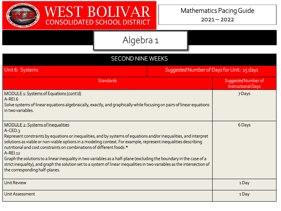

| <b>SECOND NINE WEEKS</b>                                                                                                                                                                                                                                                                                                                                                                                                                                                                                                                                                                                                                                            |                                            |                                                  |  |
|---------------------------------------------------------------------------------------------------------------------------------------------------------------------------------------------------------------------------------------------------------------------------------------------------------------------------------------------------------------------------------------------------------------------------------------------------------------------------------------------------------------------------------------------------------------------------------------------------------------------------------------------------------------------|--------------------------------------------|--------------------------------------------------|--|
| Unit 6: Systems                                                                                                                                                                                                                                                                                                                                                                                                                                                                                                                                                                                                                                                     | Suggested Number of Days for Unit: 15 days |                                                  |  |
| <b>Standards</b>                                                                                                                                                                                                                                                                                                                                                                                                                                                                                                                                                                                                                                                    |                                            | Suggested Number of<br><b>Instructional Days</b> |  |
| MODULE 1: Systems of Equations (cont'd)<br>A-REI.6<br>Solve systems of linear equations algebraically, exactly, and graphically while focusing on pairs of linear equations<br>in two variables.                                                                                                                                                                                                                                                                                                                                                                                                                                                                    |                                            | 7 Days                                           |  |
| MODULE 2: Systems of Inequalities<br>$A-CED.3$<br>Represent constraints by equations or inequalities, and by systems of equations and/or inequalities, and interpret<br>solutions as viable or non-viable options in a modeling context. For example, represent inequalities describing<br>nutritional and cost constraints on combinations of different foods.*<br>A-REI.12<br>Graph the solutions to a linear inequality in two variables as a half-plane (excluding the boundary in the case of a<br>strict inequality), and graph the solution set to a system of linear inequalities in two variables as the intersection of<br>the corresponding half-planes. |                                            | 6 Days                                           |  |
| <b>Unit Review</b>                                                                                                                                                                                                                                                                                                                                                                                                                                                                                                                                                                                                                                                  |                                            | 1Day                                             |  |
| Unit Assessment                                                                                                                                                                                                                                                                                                                                                                                                                                                                                                                                                                                                                                                     |                                            | 1Day                                             |  |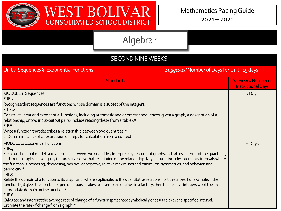

| <b>SECOND NINE WEEKS</b>                                                                                                                                                                                                                                                                                                                                                                                                                                                                                                                                                                                                                                                                                                                                                                                                                                                                                                                                                                                                           |                                                  |  |  |  |
|------------------------------------------------------------------------------------------------------------------------------------------------------------------------------------------------------------------------------------------------------------------------------------------------------------------------------------------------------------------------------------------------------------------------------------------------------------------------------------------------------------------------------------------------------------------------------------------------------------------------------------------------------------------------------------------------------------------------------------------------------------------------------------------------------------------------------------------------------------------------------------------------------------------------------------------------------------------------------------------------------------------------------------|--------------------------------------------------|--|--|--|
| Unit 7: Sequences & Exponential Functions<br>Suggested Number of Days for Unit: 15 days                                                                                                                                                                                                                                                                                                                                                                                                                                                                                                                                                                                                                                                                                                                                                                                                                                                                                                                                            |                                                  |  |  |  |
| <b>Standards</b>                                                                                                                                                                                                                                                                                                                                                                                                                                                                                                                                                                                                                                                                                                                                                                                                                                                                                                                                                                                                                   | Suggested Number of<br><b>Instructional Days</b> |  |  |  |
| <b>MODULE 1: Sequences</b><br>$F-IF.3$<br>Recognize that sequences are functions whose domain is a subset of the integers.<br>$F-LE.2$<br>Construct linear and exponential functions, including arithmetic and geometric sequences, given a graph, a description of a<br>relationship, or two input-output pairs (include reading these from a table).*<br>$F-BF.a$<br>Write a function that describes a relationship between two quantities.*<br>a. Determine an explicit expression or steps for calculation from a context.                                                                                                                                                                                                                                                                                                                                                                                                                                                                                                     | 7 Days                                           |  |  |  |
| <b>MODULE 2: Exponential Functions</b><br>$F-IF.4$<br>For a function that models a relationship between two quantities, interpret key features of graphs and tables in terms of the quantities,<br>and sketch graphs showing key features given a verbal description of the relationship. Key features include: intercepts; intervals where<br>the function is increasing, decreasing, positive, or negative; relative maximums and minimums; symmetries; end behavior; and<br>periodicity.*<br>$F-IF.5$<br>Relate the domain of a function to its graph and, where applicable, to the quantitative relationship it describes. For example, if the<br>function h(n) gives the number of person- hours it takes to assemble n engines in a factory, then the positive integers would be an<br>appropriate domain for the function.*<br>$F-IF.6$<br>Calculate and interpret the average rate of change of a function (presented symbolically or as a table) over a specified interval.<br>Estimate the rate of change from a graph.* | 6 Days                                           |  |  |  |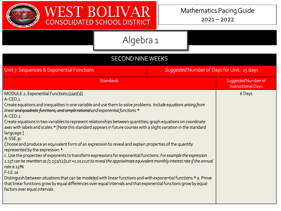

 $2021 - 2022$ 

| <b>SECOND NINE WEEKS</b>                                                                                                                                                                                                                                                                                                                                                                                                                                                                                                                                                                                                                                                                                                                                                                                                                                                                                                                                                                                                                                                                                                                                                                                                                                      |                                            |                                                  |  |
|---------------------------------------------------------------------------------------------------------------------------------------------------------------------------------------------------------------------------------------------------------------------------------------------------------------------------------------------------------------------------------------------------------------------------------------------------------------------------------------------------------------------------------------------------------------------------------------------------------------------------------------------------------------------------------------------------------------------------------------------------------------------------------------------------------------------------------------------------------------------------------------------------------------------------------------------------------------------------------------------------------------------------------------------------------------------------------------------------------------------------------------------------------------------------------------------------------------------------------------------------------------|--------------------------------------------|--------------------------------------------------|--|
| Unit 7: Sequences & Exponential Functions                                                                                                                                                                                                                                                                                                                                                                                                                                                                                                                                                                                                                                                                                                                                                                                                                                                                                                                                                                                                                                                                                                                                                                                                                     | Suggested Number of Days for Unit: 15 days |                                                  |  |
| <b>Standards</b>                                                                                                                                                                                                                                                                                                                                                                                                                                                                                                                                                                                                                                                                                                                                                                                                                                                                                                                                                                                                                                                                                                                                                                                                                                              |                                            | Suggested Number of<br><b>Instructional Days</b> |  |
| MODULE 2: Exponential Functions (cont'd)<br>A-CED.1<br>Create equations and inequalities in one variable and use them to solve problems. Include equations arising from<br>linear and quadratic functions, and simple rational and exponential functions. *<br>A-CED.2<br>Create equations in two variables to represent relationships between quantities; graph equations on coordinate<br>axes with labels and scales.* [Note this standard appears in future courses with a slight variation in the standard<br>language.]<br>A-SSE.3C<br>Choose and produce an equivalent form of an expression to reveal and explain properties of the quantity<br>represented by the expression.*<br>c. Use the properties of exponents to transform expressions for exponential functions. For example the expression<br>1.15t can be rewritten as [1.151/12]12t $\approx$ 1.01212t to reveal the approximate equivalent monthly interest rate if the annual<br>rate is 15%.<br>$F-LE$ .1a<br>Distinguish between situations that can be modeled with linear functions and with exponential functions.* a. Prove<br>that linear functions grow by equal differences over equal intervals and that exponential functions grow by equal<br>factors over equal intervals. |                                            | 6 Days                                           |  |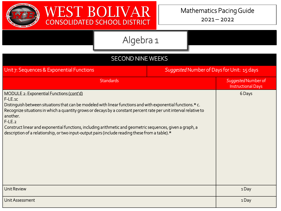

| Algebra 1 |  |
|-----------|--|
|           |  |

| <b>SECOND NINE WEEKS</b>                                                                                                                                                                                                                                                                                                                                                                                                                                                                                                          |  |                                                  |  |
|-----------------------------------------------------------------------------------------------------------------------------------------------------------------------------------------------------------------------------------------------------------------------------------------------------------------------------------------------------------------------------------------------------------------------------------------------------------------------------------------------------------------------------------|--|--------------------------------------------------|--|
| Suggested Number of Days for Unit: 15 days<br>Unit 7: Sequences & Exponential Functions                                                                                                                                                                                                                                                                                                                                                                                                                                           |  |                                                  |  |
| <b>Standards</b>                                                                                                                                                                                                                                                                                                                                                                                                                                                                                                                  |  | Suggested Number of<br><b>Instructional Days</b> |  |
| MODULE 2: Exponential Functions (cont'd)<br>F-LE.1C<br>Distinguish between situations that can be modeled with linear functions and with exponential functions.* c.<br>Recognize situations in which a quantity grows or decays by a constant percent rate per unit interval relative to<br>another.<br>$F-LE.2$<br>Construct linear and exponential functions, including arithmetic and geometric sequences, given a graph, a<br>description of a relationship, or two input-output pairs (include reading these from a table).* |  | 6 Days                                           |  |
| <b>Unit Review</b>                                                                                                                                                                                                                                                                                                                                                                                                                                                                                                                |  | 1Day                                             |  |
| Unit Assessment                                                                                                                                                                                                                                                                                                                                                                                                                                                                                                                   |  | 1Day                                             |  |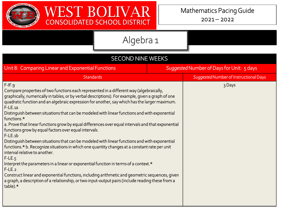



| <b>SECOND NINE WEEKS</b>                                                                                                                                                                                                                                                                                                                                                                                                                                                                                                                                                                                                                                                                                                                                                                                                                                                                                                                                                                                                                                                                                                                                                                  |                                           |                                        |  |
|-------------------------------------------------------------------------------------------------------------------------------------------------------------------------------------------------------------------------------------------------------------------------------------------------------------------------------------------------------------------------------------------------------------------------------------------------------------------------------------------------------------------------------------------------------------------------------------------------------------------------------------------------------------------------------------------------------------------------------------------------------------------------------------------------------------------------------------------------------------------------------------------------------------------------------------------------------------------------------------------------------------------------------------------------------------------------------------------------------------------------------------------------------------------------------------------|-------------------------------------------|----------------------------------------|--|
| Unit 8: Comparing Linear and Exponential Functions                                                                                                                                                                                                                                                                                                                                                                                                                                                                                                                                                                                                                                                                                                                                                                                                                                                                                                                                                                                                                                                                                                                                        | Suggested Number of Days for Unit: 5 days |                                        |  |
| <b>Standards</b>                                                                                                                                                                                                                                                                                                                                                                                                                                                                                                                                                                                                                                                                                                                                                                                                                                                                                                                                                                                                                                                                                                                                                                          |                                           | Suggested Number of Instructional Days |  |
| $F-IF.9$<br>Compare properties of two functions each represented in a different way (algebraically,<br>graphically, numerically in tables, or by verbal descriptions). For example, given a graph of one<br>quadratic function and an algebraic expression for another, say which has the larger maximum.<br>$F-LE.a$<br>Distinguish between situations that can be modeled with linear functions and with exponential<br>functions.*<br>a. Prove that linear functions grow by equal differences over equal intervals and that exponential<br>functions grow by equal factors over equal intervals.<br>$F-LE$ .1b<br>Distinguish between situations that can be modeled with linear functions and with exponential<br>functions.* b. Recognize situations in which one quantity changes at a constant rate per unit<br>interval relative to another.<br>$F-LE.5$<br>Interpret the parameters in a linear or exponential function in terms of a context.*<br>$F-LE.2$<br>Construct linear and exponential functions, including arithmetic and geometric sequences, given<br>a graph, a description of a relationship, or two input-output pairs (include reading these from a<br>table).* |                                           | 3 Days                                 |  |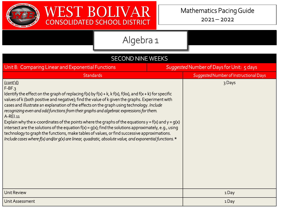

| <b>SECOND NINE WEEKS</b>                                                                                                                                                                                                                                                                                                                                                                                                                                                                                                                                                                                                                                                                                                                                                                                                                                                                        |  |                                        |  |  |  |
|-------------------------------------------------------------------------------------------------------------------------------------------------------------------------------------------------------------------------------------------------------------------------------------------------------------------------------------------------------------------------------------------------------------------------------------------------------------------------------------------------------------------------------------------------------------------------------------------------------------------------------------------------------------------------------------------------------------------------------------------------------------------------------------------------------------------------------------------------------------------------------------------------|--|----------------------------------------|--|--|--|
| Suggested Number of Days for Unit: 5 days<br>Unit 8: Comparing Linear and Exponential Functions                                                                                                                                                                                                                                                                                                                                                                                                                                                                                                                                                                                                                                                                                                                                                                                                 |  |                                        |  |  |  |
| <b>Standards</b>                                                                                                                                                                                                                                                                                                                                                                                                                                                                                                                                                                                                                                                                                                                                                                                                                                                                                |  | Suggested Number of Instructional Days |  |  |  |
| (cont'd)<br>$F-BF.3$<br>Identify the effect on the graph of replacing $f(x)$ by $f(x) + k$ , $k f(x)$ , $f(kx)$ , and $f(x + k)$ for specific<br>values of k (both positive and negative); find the value of k given the graphs. Experiment with<br>cases and illustrate an explanation of the effects on the graph using technology. Include<br>recognizing even and odd functions from their graphs and algebraic expressions for them.<br>A-REI.11<br>Explain why the x-coordinates of the points where the graphs of the equations $y = f(x)$ and $y = g(x)$<br>intersect are the solutions of the equation $f(x) = g(x)$ ; find the solutions approximately, e.g., using<br>technology to graph the functions, make tables of values, or find successive approximations.<br>Include cases where $f(x)$ and/or $g(x)$ are linear, quadratic, absolute value, and exponential functions. $*$ |  | 3 Days                                 |  |  |  |
| <b>Unit Review</b>                                                                                                                                                                                                                                                                                                                                                                                                                                                                                                                                                                                                                                                                                                                                                                                                                                                                              |  | 1Day                                   |  |  |  |
| Unit Assessment                                                                                                                                                                                                                                                                                                                                                                                                                                                                                                                                                                                                                                                                                                                                                                                                                                                                                 |  | 1Day                                   |  |  |  |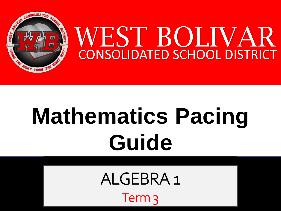

# **Mathematics Pacing Guide**

ALGEBRA 1 Term 3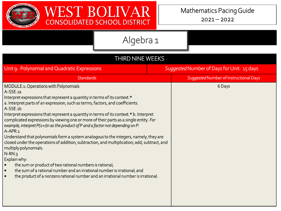

| <b>THIRD NINE WEEKS</b>                                                                                                                                                                                                                                                                                                                                                                                                                                                                                                                                                                                                                                                                                                                                                                                                                                                                                                                                                                                |  |                                        |  |
|--------------------------------------------------------------------------------------------------------------------------------------------------------------------------------------------------------------------------------------------------------------------------------------------------------------------------------------------------------------------------------------------------------------------------------------------------------------------------------------------------------------------------------------------------------------------------------------------------------------------------------------------------------------------------------------------------------------------------------------------------------------------------------------------------------------------------------------------------------------------------------------------------------------------------------------------------------------------------------------------------------|--|----------------------------------------|--|
| Suggested Number of Days for Unit: 15 days<br>Unit 9: Polynomial and Quadratic Expressions                                                                                                                                                                                                                                                                                                                                                                                                                                                                                                                                                                                                                                                                                                                                                                                                                                                                                                             |  |                                        |  |
| <b>Standards</b>                                                                                                                                                                                                                                                                                                                                                                                                                                                                                                                                                                                                                                                                                                                                                                                                                                                                                                                                                                                       |  | Suggested Number of Instructional Days |  |
| MODULE 1: Operations with Polynomials<br>A-SSE.1a<br>Interpret expressions that represent a quantity in terms of its context.*<br>a. Interpret parts of an expression, such as terms, factors, and coefficients.<br>A-SSE.1b<br>Interpret expressions that represent a quantity in terms of its context.* b. Interpret<br>complicated expressions by viewing one or more of their parts as a single entity. For<br>example, interpret $P(1+r)$ n as the product of P and a factor not depending on P.<br>A-APR.1<br>Understand that polynomials form a system analogous to the integers, namely, they are<br>closed under the operations of addition, subtraction, and multiplication; add, subtract, and<br>multiply polynomials.<br>$N-RN.3$<br>Explain why:<br>the sum or product of two rational numbers is rational;<br>the sum of a rational number and an irrational number is irrational; and<br>$\bullet$<br>the product of a nonzero rational number and an irrational number is irrational. |  | 6 Days                                 |  |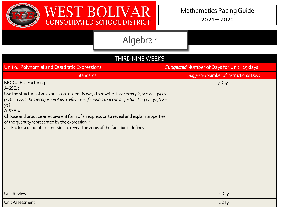

| THIRD NINE WEEKS                                                                                                                                                                                                                                                                                                                                                                                                                                                                                           |  |                                        |  |  |
|------------------------------------------------------------------------------------------------------------------------------------------------------------------------------------------------------------------------------------------------------------------------------------------------------------------------------------------------------------------------------------------------------------------------------------------------------------------------------------------------------------|--|----------------------------------------|--|--|
| Unit 9: Polynomial and Quadratic Expressions<br>Suggested Number of Days for Unit: 15 days                                                                                                                                                                                                                                                                                                                                                                                                                 |  |                                        |  |  |
| <b>Standards</b>                                                                                                                                                                                                                                                                                                                                                                                                                                                                                           |  | Suggested Number of Instructional Days |  |  |
| MODULE 2: Factoring<br>A-SSE.2<br>Use the structure of an expression to identify ways to rewrite it. For example, see $x_4 - y_4$ as<br>$\alpha$ (x2)2 – (y2)2 thus recognizing it as a difference of squares that can be factored as (x2–y2)(x2 +<br>  y2).<br>A-SSE.3a<br>Choose and produce an equivalent form of an expression to reveal and explain properties<br>of the quantity represented by the expression.*<br>a. Factor a quadratic expression to reveal the zeros of the function it defines. |  | 7 Days                                 |  |  |
| <b>Unit Review</b>                                                                                                                                                                                                                                                                                                                                                                                                                                                                                         |  | 1Day                                   |  |  |
| Unit Assessment                                                                                                                                                                                                                                                                                                                                                                                                                                                                                            |  | 1Day                                   |  |  |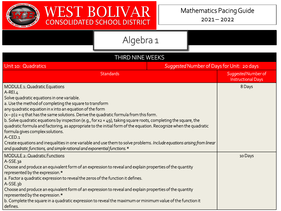

 $2021 - 2022$ 

|                                                                                                                                                                                                                                                                                                                                                                                                                                                                                                                                                                                                                                                                                                                                                                                                                             | Algebra 1        |        |                                                  |         |
|-----------------------------------------------------------------------------------------------------------------------------------------------------------------------------------------------------------------------------------------------------------------------------------------------------------------------------------------------------------------------------------------------------------------------------------------------------------------------------------------------------------------------------------------------------------------------------------------------------------------------------------------------------------------------------------------------------------------------------------------------------------------------------------------------------------------------------|------------------|--------|--------------------------------------------------|---------|
|                                                                                                                                                                                                                                                                                                                                                                                                                                                                                                                                                                                                                                                                                                                                                                                                                             |                  |        |                                                  |         |
|                                                                                                                                                                                                                                                                                                                                                                                                                                                                                                                                                                                                                                                                                                                                                                                                                             | THIRD NINE WEEKS |        |                                                  |         |
| Suggested Number of Days for Unit: 20 days<br>Unit 10: Quadratics                                                                                                                                                                                                                                                                                                                                                                                                                                                                                                                                                                                                                                                                                                                                                           |                  |        |                                                  |         |
| <b>Standards</b>                                                                                                                                                                                                                                                                                                                                                                                                                                                                                                                                                                                                                                                                                                                                                                                                            |                  |        | Suggested Number of<br><b>Instructional Days</b> |         |
| MODULE 1: Quadratic Equations<br>A-REI.4<br>Solve quadratic equations in one variable.<br>a. Use the method of completing the square to transform<br>any quadratic equation in x into an equation of the form<br>$(x-p)$ = q that has the same solutions. Derive the quadratic formula from this form.<br>$\vert$ b. Solve quadratic equations by inspection (e.g., for x2 = 49), taking square roots, completing the square, the<br>quadratic formula and factoring, as appropriate to the initial form of the equation. Recognize when the quadratic<br>formula gives complex solutions.<br>A-CED.1<br>Create equations and inequalities in one variable and use them to solve problems. Include equations arising from linear<br>$\vert$ and quadratic functions, and simple rational and exponential functions. $\star$ |                  | 8 Days |                                                  |         |
| MODULE 2: Quadratic Functions<br>A-SSE.3a<br>Choose and produce an equivalent form of an expression to reveal and explain properties of the quantity<br>represented by the expression.*<br>a. Factor a quadratic expression to reveal the zeros of the function it defines.<br>$A-SSE.3b$<br>Choose and produce an equivalent form of an expression to reveal and explain properties of the quantity<br>represented by the expression.*<br>$\mid$ b. Complete the square in a quadratic expression to reveal the maximum or minimum value of the function it<br>defines.                                                                                                                                                                                                                                                    |                  |        |                                                  | 10 Days |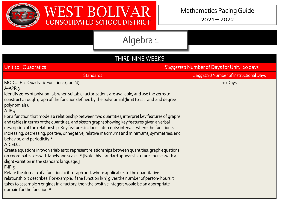

| <b>THIRD NINE WEEKS</b>                                                                                                                                                                                                                                                                                                                                                                                                                                                                                                                                                                                                                                                                                                                                                                                                                                                                                                                                                                                                                                                                                                                                                                                                                                                                                                                      |                                            |  |  |  |
|----------------------------------------------------------------------------------------------------------------------------------------------------------------------------------------------------------------------------------------------------------------------------------------------------------------------------------------------------------------------------------------------------------------------------------------------------------------------------------------------------------------------------------------------------------------------------------------------------------------------------------------------------------------------------------------------------------------------------------------------------------------------------------------------------------------------------------------------------------------------------------------------------------------------------------------------------------------------------------------------------------------------------------------------------------------------------------------------------------------------------------------------------------------------------------------------------------------------------------------------------------------------------------------------------------------------------------------------|--------------------------------------------|--|--|--|
| Unit 10: Quadratics                                                                                                                                                                                                                                                                                                                                                                                                                                                                                                                                                                                                                                                                                                                                                                                                                                                                                                                                                                                                                                                                                                                                                                                                                                                                                                                          | Suggested Number of Days for Unit: 20 days |  |  |  |
| <b>Standards</b>                                                                                                                                                                                                                                                                                                                                                                                                                                                                                                                                                                                                                                                                                                                                                                                                                                                                                                                                                                                                                                                                                                                                                                                                                                                                                                                             | Suggested Number of Instructional Days     |  |  |  |
| MODULE 2: Quadratic Functions (cont'd)<br>$A-APR.3$<br>Identify zeros of polynomials when suitable factorizations are available, and use the zeros to<br>construct a rough graph of the function defined by the polynomial (limit to 1st- and 2nd degree<br>polynomials).<br>$A-IF.4$<br>For a function that models a relationship between two quantities, interpret key features of graphs<br>and tables in terms of the quantities, and sketch graphs showing key features given a verbal<br>description of the relationship. Key features include: intercepts; intervals where the function is<br>increasing, decreasing, positive, or negative; relative maximums and minimums; symmetries; end<br>behavior; and periodicity.*<br>A-CED.2<br>Create equations in two variables to represent relationships between quantities; graph equations<br>on coordinate axes with labels and scales.* [Note this standard appears in future courses with a<br>slight variation in the standard language.]<br>$F-IF.5$<br>Relate the domain of a function to its graph and, where applicable, to the quantitative<br>relationship it describes. For example, if the function h(n) gives the number of person-hours it<br>takes to assemble n engines in a factory, then the positive integers would be an appropriate<br>domain for the function.* | 10 Days                                    |  |  |  |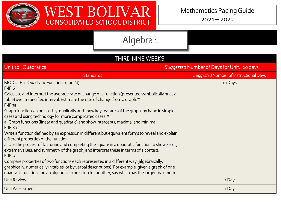

| THIRD NINE WEEKS                                                                                                                                                                                                                                                                                                                                                                                                                                                                                                                                                                                                                                                                                                                                                                                                                                                                                                                                                                                                                                                             |                                            |                                        |  |
|------------------------------------------------------------------------------------------------------------------------------------------------------------------------------------------------------------------------------------------------------------------------------------------------------------------------------------------------------------------------------------------------------------------------------------------------------------------------------------------------------------------------------------------------------------------------------------------------------------------------------------------------------------------------------------------------------------------------------------------------------------------------------------------------------------------------------------------------------------------------------------------------------------------------------------------------------------------------------------------------------------------------------------------------------------------------------|--------------------------------------------|----------------------------------------|--|
| Unit 10: Quadratics                                                                                                                                                                                                                                                                                                                                                                                                                                                                                                                                                                                                                                                                                                                                                                                                                                                                                                                                                                                                                                                          | Suggested Number of Days for Unit: 20 days |                                        |  |
| <b>Standards</b>                                                                                                                                                                                                                                                                                                                                                                                                                                                                                                                                                                                                                                                                                                                                                                                                                                                                                                                                                                                                                                                             |                                            | Suggested Number of Instructional Days |  |
| MODULE 2: Quadratic Functions (cont'd)<br>$F-IF.6$<br>Calculate and interpret the average rate of change of a function (presented symbolically or as a<br>$t$ able) over a specified interval. Estimate the rate of change from a graph. $\star$<br>F-IF.7a<br>Graph functions expressed symbolically and show key features of the graph, by hand in simple<br>cases and using technology for more complicated cases.*<br>a. Graph functions (linear and quadratic) and show intercepts, maxima, and minima.<br>F-IF.8a<br>Write a function defined by an expression in different but equivalent forms to reveal and explain<br>different properties of the function.<br>a. Use the process of factoring and completing the square in a quadratic function to show zeros,<br>extreme values, and symmetry of the graph, and interpret these in terms of a context.<br>F-IF.9<br>Compare properties of two functions each represented in a different way (algebraically,<br>graphically, numerically in tables, or by verbal descriptions). For example, given a graph of one |                                            | 10 Days                                |  |
| quadratic function and an algebraic expression for another, say which has the larger maximum.                                                                                                                                                                                                                                                                                                                                                                                                                                                                                                                                                                                                                                                                                                                                                                                                                                                                                                                                                                                |                                            |                                        |  |
| <b>Unit Review</b>                                                                                                                                                                                                                                                                                                                                                                                                                                                                                                                                                                                                                                                                                                                                                                                                                                                                                                                                                                                                                                                           |                                            | 1Day                                   |  |
| Unit Assessment                                                                                                                                                                                                                                                                                                                                                                                                                                                                                                                                                                                                                                                                                                                                                                                                                                                                                                                                                                                                                                                              |                                            | 1Day                                   |  |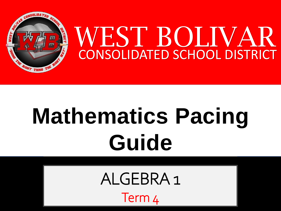

# **Mathematics Pacing Guide**

ALGEBRA 1

Term 4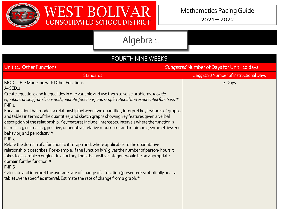

| <b>FOURTH NINE WEEKS</b>                                                                                                                                                                                                                                                                                                                                                                                                                                                                                                                                                                                                                                                                                                                                                                                                                                                                                                                                                                                                                                                                                                                                                                                                                                   |                                            |                                        |  |
|------------------------------------------------------------------------------------------------------------------------------------------------------------------------------------------------------------------------------------------------------------------------------------------------------------------------------------------------------------------------------------------------------------------------------------------------------------------------------------------------------------------------------------------------------------------------------------------------------------------------------------------------------------------------------------------------------------------------------------------------------------------------------------------------------------------------------------------------------------------------------------------------------------------------------------------------------------------------------------------------------------------------------------------------------------------------------------------------------------------------------------------------------------------------------------------------------------------------------------------------------------|--------------------------------------------|----------------------------------------|--|
| Unit 11: Other Functions                                                                                                                                                                                                                                                                                                                                                                                                                                                                                                                                                                                                                                                                                                                                                                                                                                                                                                                                                                                                                                                                                                                                                                                                                                   | Suggested Number of Days for Unit: 10 days |                                        |  |
| <b>Standards</b>                                                                                                                                                                                                                                                                                                                                                                                                                                                                                                                                                                                                                                                                                                                                                                                                                                                                                                                                                                                                                                                                                                                                                                                                                                           |                                            | Suggested Number of Instructional Days |  |
| MODULE 1: Modeling with Other Functions<br>A-CED.1<br>Create equations and inequalities in one variable and use them to solve problems. Include<br>equations arising from linear and quadratic functions, and simple rational and exponential functions. *<br>$F-IF.4$<br>For a function that models a relationship between two quantities, interpret key features of graphs<br>and tables in terms of the quantities, and sketch graphs showing key features given a verbal<br>description of the relationship. Key features include: intercepts; intervals where the function is<br>increasing, decreasing, positive, or negative; relative maximums and minimums; symmetries; end<br>behavior; and periodicity.*<br>$F-IF.5$<br>Relate the domain of a function to its graph and, where applicable, to the quantitative<br>relationship it describes. For example, if the function h(n) gives the number of person-hours it<br>takes to assemble n engines in a factory, then the positive integers would be an appropriate<br>domain for the function.*<br>$F-IF6$<br>Calculate and interpret the average rate of change of a function (presented symbolically or as a<br>table) over a specified interval. Estimate the rate of change from a graph.* |                                            | 4 Days                                 |  |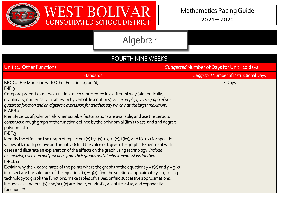

| <b>FOURTH NINE WEEKS</b>                                                                                                                                                                                                                                                                                                                                                                                                                                                                                                                                                                                                                                                                                                                                                                                                                                                                                                                                                                                                                                                                                                                                                                                                                                                                                                                                                                                                                                                                  |                                            |  |  |
|-------------------------------------------------------------------------------------------------------------------------------------------------------------------------------------------------------------------------------------------------------------------------------------------------------------------------------------------------------------------------------------------------------------------------------------------------------------------------------------------------------------------------------------------------------------------------------------------------------------------------------------------------------------------------------------------------------------------------------------------------------------------------------------------------------------------------------------------------------------------------------------------------------------------------------------------------------------------------------------------------------------------------------------------------------------------------------------------------------------------------------------------------------------------------------------------------------------------------------------------------------------------------------------------------------------------------------------------------------------------------------------------------------------------------------------------------------------------------------------------|--------------------------------------------|--|--|
| Unit 11: Other Functions                                                                                                                                                                                                                                                                                                                                                                                                                                                                                                                                                                                                                                                                                                                                                                                                                                                                                                                                                                                                                                                                                                                                                                                                                                                                                                                                                                                                                                                                  | Suggested Number of Days for Unit: 10 days |  |  |
| <b>Standards</b>                                                                                                                                                                                                                                                                                                                                                                                                                                                                                                                                                                                                                                                                                                                                                                                                                                                                                                                                                                                                                                                                                                                                                                                                                                                                                                                                                                                                                                                                          | Suggested Number of Instructional Days     |  |  |
| MODULE 1: Modeling with Other Functions (cont'd)<br>$F-IF.9$<br>Compare properties of two functions each represented in a different way (algebraically,<br>graphically, numerically in tables, or by verbal descriptions). For example, given a graph of one<br>quadratic function and an algebraic expression for another, say which has the larger maximum.<br>$F-APR.3$<br>Identify zeros of polynomials when suitable factorizations are available, and use the zeros to<br>construct a rough graph of the function defined by the polynomial (limit to 1st- and 2nd degree<br>polynomials).<br>$F-BF.3$<br>Identify the effect on the graph of replacing $f(x)$ by $f(x) + k$ , k $f(x)$ , $f(kx)$ , and $f(x + k)$ for specific<br>values of k (both positive and negative); find the value of k given the graphs. Experiment with<br>cases and illustrate an explanation of the effects on the graph using technology. Include<br>recognizing even and odd functions from their graphs and algebraic expressions for them.<br>$F-REI.11$<br>Explain why the x-coordinates of the points where the graphs of the equations $y = f(x)$ and $y = g(x)$<br>intersect are the solutions of the equation $f(x) = g(x)$ ; find the solutions approximately, e.g., using<br>technology to graph the functions, make tables of values, or find successive approximations.<br>Include cases where $f(x)$ and/or $g(x)$ are linear, quadratic, absolute value, and exponential<br>functions.* | 4 Days                                     |  |  |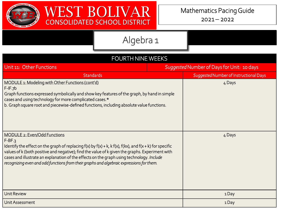

| <b>FOURTH NINE WEEKS</b>                                                                                                                                                                                                                                                                                                                                                                                                                                      |                                            |                                        |  |  |
|---------------------------------------------------------------------------------------------------------------------------------------------------------------------------------------------------------------------------------------------------------------------------------------------------------------------------------------------------------------------------------------------------------------------------------------------------------------|--------------------------------------------|----------------------------------------|--|--|
| Unit 11: Other Functions                                                                                                                                                                                                                                                                                                                                                                                                                                      | Suggested Number of Days for Unit: 10 days |                                        |  |  |
| <b>Standards</b>                                                                                                                                                                                                                                                                                                                                                                                                                                              |                                            | Suggested Number of Instructional Days |  |  |
| MODULE 1: Modeling with Other Functions (cont'd)<br>$F-IF.7b$<br>Graph functions expressed symbolically and show key features of the graph, by hand in simple<br>cases and using technology for more complicated cases.*<br>b. Graph square root and piecewise-defined functions, including absolute value functions.                                                                                                                                         |                                            | 4 Days                                 |  |  |
| MODULE 2: Even/Odd Functions<br>$F-BF.3$<br>Identify the effect on the graph of replacing $f(x)$ by $f(x) + k$ , $k f(x)$ , $f(kx)$ , and $f(x + k)$ for specific<br>values of k (both positive and negative); find the value of k given the graphs. Experiment with<br>cases and illustrate an explanation of the effects on the graph using technology. Include<br>recognizing even and odd functions from their graphs and algebraic expressions for them. |                                            | 4 Days                                 |  |  |
| <b>Unit Review</b>                                                                                                                                                                                                                                                                                                                                                                                                                                            |                                            | 1Day                                   |  |  |
| Unit Assessment                                                                                                                                                                                                                                                                                                                                                                                                                                               |                                            | 1 Day                                  |  |  |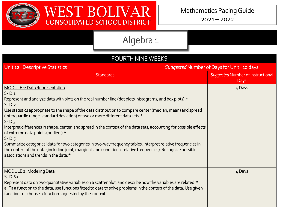

 $2021 - 2022$ 

| <b>FOURTH NINE WEEKS</b>                                                                                                                                                                                                                                                                                                                                                                                                                                                                                                                                                                                                                                                                                                                                                                                                                            |  |                                           |  |  |
|-----------------------------------------------------------------------------------------------------------------------------------------------------------------------------------------------------------------------------------------------------------------------------------------------------------------------------------------------------------------------------------------------------------------------------------------------------------------------------------------------------------------------------------------------------------------------------------------------------------------------------------------------------------------------------------------------------------------------------------------------------------------------------------------------------------------------------------------------------|--|-------------------------------------------|--|--|
| Suggested Number of Days for Unit: 10 days<br>Unit 12: Descriptive Statistics                                                                                                                                                                                                                                                                                                                                                                                                                                                                                                                                                                                                                                                                                                                                                                       |  |                                           |  |  |
| <b>Standards</b>                                                                                                                                                                                                                                                                                                                                                                                                                                                                                                                                                                                                                                                                                                                                                                                                                                    |  | Suggested Number of Instructional<br>Days |  |  |
| <b>MODULE 1: Data Representation</b><br>$S$ -ID.1<br>Represent and analyze data with plots on the real number line (dot plots, histograms, and box plots). $\star$<br>$S$ -ID.2<br>Use statistics appropriate to the shape of the data distribution to compare center (median, mean) and spread<br>(interquartile range, standard deviation) of two or more different data sets.*<br>$S$ -ID.3<br>Interpret differences in shape, center, and spread in the context of the data sets, accounting for possible effects<br>of extreme data points (outliers).*<br>$S$ -ID.5<br>Summarize categorical data for two categories in two-way frequency tables. Interpret relative frequencies in<br>the context of the data (including joint, marginal, and conditional relative frequencies). Recognize possible<br>associations and trends in the data.* |  | 4 Days                                    |  |  |
| MODULE 2: Modeling Data<br>$S$ -ID.6a<br>Represent data on two quantitative variables on a scatter plot, and describe how the variables are related.*<br>a. Fit a function to the data; use functions fitted to data to solve problems in the context of the data. Use given<br>functions or choose a function suggested by the context.                                                                                                                                                                                                                                                                                                                                                                                                                                                                                                            |  | 4 Days                                    |  |  |